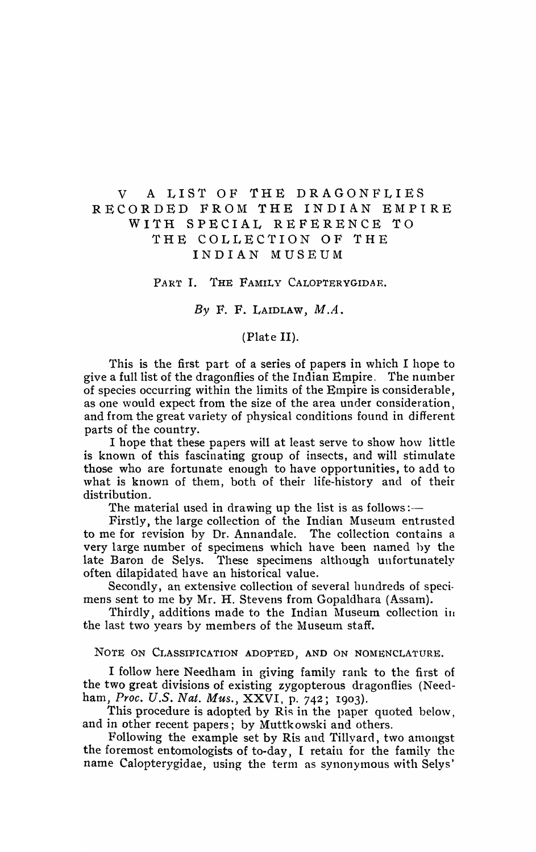# V A LIST OF THE DRAGONFLIES RECORDED FROM THE INDIAN EMPIRE WITH SPECIAL REFERENCE TO THE COLLECTION OF THE INDIAN MUSEUM

PART I. THE FAMILY CALOPTERYGIDAE.

*By* F. F. LAIDLAW, *M.A.* 

## (Plate II).

This is the first part of a series of papers in which I hope to give a full list of the dragonflies of the Indian Empire. The number of species occurring within the limits of the Empire is considerable, as one would expect from the size of the area under consideration, and from the great variety of physical conditions found in different parts of the country.

I hope that these papers will at least serve to show how little is known of this fascinating group of insects, and will stimulate those who are fortunate enough to have opportunities, to add to what is known of them, both of their life-history and of their distribution.

The material used in drawing up the list is as follows :-

Firstly, the large collection of the Indian Museum entrusted to me for revision by Dr. Annandale. The collection contains a very large number of specimens which have been named by the late Baron de Selys. These specimens although unfortunately often dilapidated have an historical value.

Secondly, an extensive collection of several hundreds of specimens sent to me by Mr. H. Stevens from Gopaldhara (Assam).

Thirdly, additions made to the Indian Museum collection in the last two years by members of the Museum staff.

NOTE ON CLASSIFICATION ADOPTED, AND ON NOMENCLATURE.

I follow here Needham in giving family rank to the first of the two great divisions of existing zygopterous dragonflies (Needham, *Proc. U.S. Nat. Mus.,* XXVI, p. 742; 1903).

This procedure is adopted by Ris in the paper quoted below, and in other recent papers; by Muttkowski and others.

Following the example set by Ris and Tillyard, two amongst the foremost entomologists of to-day, I retain for the family the name Calopterygidae, using the term as synonymous with Selys'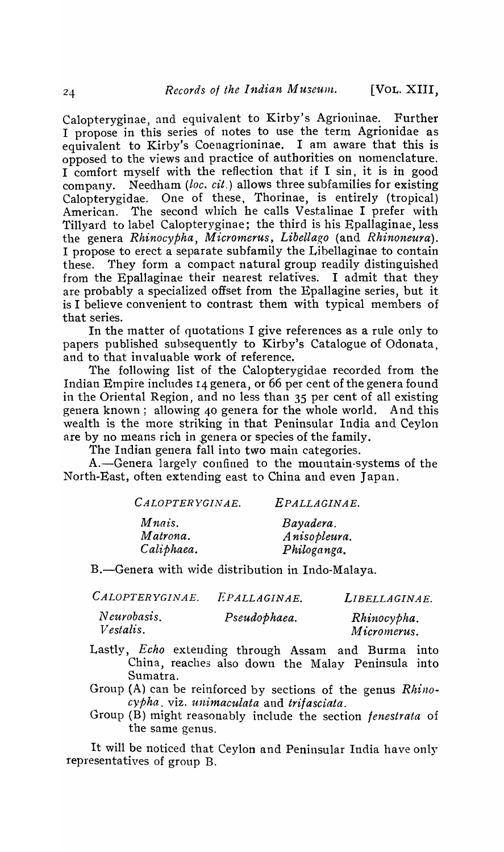Calopteryginae, and equivalent to Kirby's Agrioninae. Further I propose in this series of notes to use the term Agrionidae as equivalent to Kirby's Coenagrioninae. I am aware that this is opposed to the views and practice of authorities on nomenclature. I comfort myself with the reflection that if I sin, it is in good company. Needham *(loc. cit.)* allows three subfamilies for existing Calopterygidae. One of these, Thorinae, is entirely (tropical) American. The second which he calls Vestalinae I prefer with Tillyard to label Calopteryginae; the third is his Epallaginae, less the genera *Rhinocypha*, *Micromerus*, *Libellago* (and *Rhinoneura*). I propose to erect a separate subfamily the Libellaginae to contain these. They form a compact natural group readily distinguished from the Epallaginae their nearest relatives. I admit that they are probably a specialized offset from the Epallagine series, but it is I believe convenient to contrast them with typical members of that series.

In the matter of quotations I give references as a rule only to papers published subsequently to Kirby's Catalogue of Odonata, and to that in valuable work of reference.

The following list of the Calopterygidae recorded from the Indian Empire includes I4 geneta, or 66 per cent of the genera found in the Oriental Region, and no less than 35 per cent of all existing genera known; allowing 40 genera for the whole world. And this wealth is the more striking in that Peninsular India and Ceylon are by no means rich in genera or species of the family.

The Indian genera fall into two main categories.

A.-Genera largely confined to the mountain-systems of the North-East, often extending east to China and even Japan.

| CALOPTERYGINAE. | EPALLAGINAE. |
|-----------------|--------------|
| Mnais.          | Bayadera.    |
| Matrona.        | Anisopleura. |
| Caliphaea.      | Philoganga.  |

B.-Genera with wide distribution in Indo-Malaya.

| CALOPTERYGINAE.                 | EPALLAGINAE. | LIBELLAGINAE.              |
|---------------------------------|--------------|----------------------------|
| Neurobasis.<br><i>Vestalis.</i> | Pseudophaea. | Rhinocypha.<br>Micromerus. |

- Lastly, *Echo* extending through Assam and Burma into China, reaches also down the Malay Peninsula into Sumatra.
- Group (A) can be reinforced by sections of the genus *Rhinocypha.* viz. *unimaculata* and *trifasciata.*
- Group (B) might reasonably include the section *fenestrata* of the same genus.

It will be noticed that Ceylon and Peninsular India have only representatives of group B.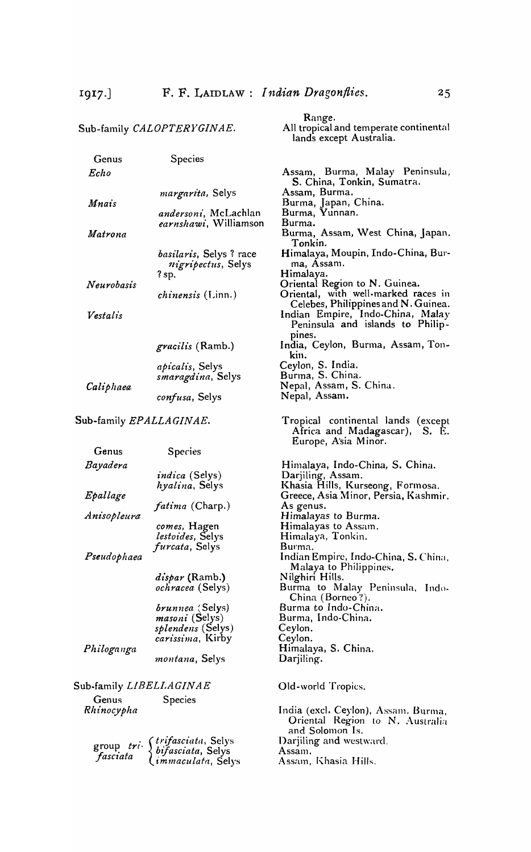|                         | Sub-family CALOPTERYGINAE.                                                                  | Range.<br>All tropical and temperate continental<br>lands except Australia.                   |
|-------------------------|---------------------------------------------------------------------------------------------|-----------------------------------------------------------------------------------------------|
| Genus                   | Species                                                                                     |                                                                                               |
| Echo                    |                                                                                             | Assam, Burma, Malay Peninsula,                                                                |
|                         | margarita, Selys                                                                            | S. China, Tonkin, Sumatra.<br>Assam, Burma.                                                   |
| Mnais                   | <i>andersoni</i> , McLachlan                                                                | Burma, Japan, China.<br>Burma, Yunnan.                                                        |
| Matrona                 | <i>earnshawi</i> , Williamson                                                               | Burma.<br>Burma, Assam, West China, Japan.<br>Tonkin.                                         |
|                         | <i>basilaris</i> , Selys? race<br><i>nigripectus</i> , Selys                                | Himalaya, Moupin, Indo-China, Bur-<br>ma, Assam.                                              |
|                         | $?$ sp.                                                                                     | Himalaya.<br>Oriental Region to N. Guinea.                                                    |
| Neurobasis              | <i>chinensis</i> (Linn.)                                                                    | Oriental, with well-marked races in<br>Celebes, Philippines and N. Guinea.                    |
| Vestalis                |                                                                                             | Indian Empire, Indo-China, Malay<br>Peninsula and islands to Philip-                          |
|                         | <i>gracilis</i> (Ramb.)                                                                     | pines.<br>India, Ceylon, Burma, Assam, Ton-<br>kın.                                           |
|                         | <i>apicalis</i> , Selys                                                                     | Ceylon, S. India.                                                                             |
|                         | smaragdina, Selys                                                                           | Burma, S. China.                                                                              |
| Caliphaea               |                                                                                             | Nepal, Assam, S. China.<br>Nepal, Assam.                                                      |
|                         | confusa, Selys                                                                              |                                                                                               |
| Sub-family EPALLAGINAE. |                                                                                             | Tropical continental lands (except<br>Africa and Madagascar), S. E.<br>Europe, Asia Minor.    |
|                         |                                                                                             |                                                                                               |
| Genus                   |                                                                                             |                                                                                               |
|                         | <b>Species</b>                                                                              |                                                                                               |
| Bayadera                |                                                                                             | Himalaya, Indo-China, S. China.                                                               |
| Epallage                | <i>indica</i> (Selys)<br>hyalina, Selys                                                     | Darjiling, Assam.<br>Khasia Hills, Kurseong, Formosa.<br>Greece, Asia Minor, Persia, Kashmir. |
|                         | <i>fatima</i> (Charp.)                                                                      | As genus.                                                                                     |
| Anisopleura             |                                                                                             | Himalayas to Burma.                                                                           |
|                         | comes, Hagen                                                                                | Himalayas to Assam.                                                                           |
|                         | lestoides, Selys                                                                            | Himalaya, Tonkin.                                                                             |
| Pseudophaea             | <i>furcata</i> , Selys                                                                      | Burma.<br>Indian Empire, Indo-China, S. China,                                                |
|                         | <i>dispar</i> (Ramb.)                                                                       | Malaya to Philippines.<br>Nilghiri Hills.                                                     |
|                         | <i>ochracea</i> (Selys)                                                                     | Burma to Malay Peninsula, Indo-<br>China (Borneo?).                                           |
|                         | brunnea (Selys)                                                                             | Burma to Indo-China.                                                                          |
|                         | <i>masoni</i> (Selys)                                                                       | Burma, Indo-China.                                                                            |
|                         | <i>splendens</i> (Selys)                                                                    | Ceylon.                                                                                       |
|                         | carissima, Kirby                                                                            | Ceylon.                                                                                       |
| Philoganga              | montana, Selys                                                                              | Himalaya, S. China.<br>Darjiling.                                                             |
| Sub-family LIBELLAGINAE |                                                                                             | Old-world Tropics.                                                                            |
| Genus                   | Species                                                                                     |                                                                                               |
| Rhinocypha              |                                                                                             | India (excl. Ceylon), Assam, Burma,<br>Oriental Region to N. Australia<br>and Solomon Is.     |
|                         |                                                                                             |                                                                                               |
|                         | group tri (trifasciata, Selys<br>fasciata (bifasciata, Selys<br>fasciata (immaculata, Selys | Darjiling and westward.<br>Assam.<br>Assam, Khasia Hills.                                     |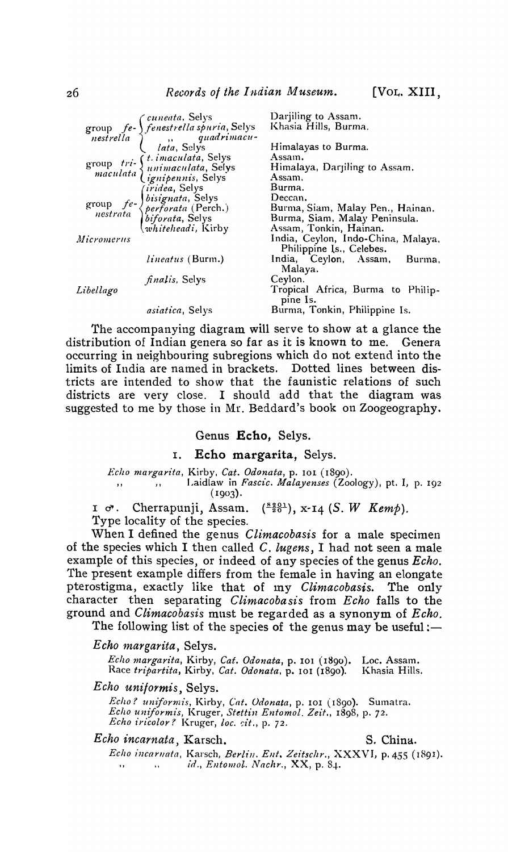|            | group fe- (cuneata, Selys<br>nestrella (fenestrella spuria, Selys<br>nestrella (iata, Selys                      | Darjiling to Assam.<br>Khasia Hills, Burma.   |
|------------|------------------------------------------------------------------------------------------------------------------|-----------------------------------------------|
|            |                                                                                                                  |                                               |
|            |                                                                                                                  | Himalayas to Burma.                           |
|            |                                                                                                                  | Assam.                                        |
|            |                                                                                                                  | Himalaya, Darjiling to Assam.                 |
|            | group tri- (t. imaculata, Selys<br>maculata (unimaculata, Selys<br>maculata (ignipennis, Selys                   | Assam.                                        |
|            |                                                                                                                  | Burma.                                        |
|            |                                                                                                                  | Deccan.                                       |
|            | group<br>group<br>fe- bisignata, Selys<br>nestrata<br>perforata (Perch.)<br>hiforata, Selys<br>whiteheadi, Kirby | Burma, Siam, Malay Pen., Hainan.              |
|            |                                                                                                                  | Burma, Siam, Malay Peninsula.                 |
|            |                                                                                                                  | Assam, Tonkin, Hainan.                        |
| Micromerus |                                                                                                                  | India, Ceylon, Indo-China, Malaya,            |
|            |                                                                                                                  | Philippine Is., Celebes.                      |
|            | <i>lineatus</i> (Burm.)                                                                                          | India, Ceylon, Assam, Burma,<br>Malaya.       |
|            | <i>finalis</i> , Selys                                                                                           | Ceylon.                                       |
| Libellago  |                                                                                                                  | Tropical Africa, Burma to Philip-<br>pine Is. |
|            | <i>asiatica</i> , Selys                                                                                          | Burma, Tonkin, Philippine Is.                 |

The accompanying diagram will serve to show at a glance the distribution of Indian genera so far as it is known to me. Genera occurring in neighbouring subregions which do not extend into the limits of India are named in brackets. Dotted lines between districts are intended to show that the faunistic relations of such districts are very close. I should add that the diagram was suggested to me by those in Mr. Beddard's book on Zoogeography.

## Genus Echo. Selys.

#### Echo margarita, Selys. I.

Echo margarita, Kirby, Cat. Odonata, p. 101 (1890).<br>
,, Jaidlaw in Fascic. Malayenses (Zoology), pt. I, p. 192  $(1903).$ 

Cherrapunji, Assam.  $\left(\frac{8201}{20}\right)$ , x-14 (S. W Kemp).  $I \circ \mathcal{C}$ . Type locality of the species.

When I defined the genus Climacobasis for a male specimen of the species which I then called C. lugens, I had not seen a male example of this species, or indeed of any species of the genus *Echo*. The present example differs from the female in having an elongate pterostigma, exactly like that of my Climacobasis. The only character then separating *Climacobasis* from *Echo* falls to the ground and *Climacobasis* must be regarded as a synonym of *Echo*.

The following list of the species of the genus may be useful:—

## Echo margarita, Selys.

Echo margarita, Kirby, Cat. Odonata, p. 101 (1890). Loc. Assam.<br>Race tripartita, Kirby, Cat. Odonata, p. 101 (1890). Khasia Hills. Khasia Hills.

## Echo uniformis, Selys.

Echo? uniformis, Kirby, Cat. Odonata, p. 101 (1890). Sumatra.<br>Echo uniformis, Kruger, Stettin Entomol. Zeit., 1898, p. 72.<br>Echo iricolor? Kruger, loc. cit., p. 72.

#### Echo incarnata, Karsch.

S. China.

Echo incarnata, Karsch, Berlin. Ent. Zeitschr., XXXVI, p. 455 (1891). id., Entomol. Nachr., XX, p. 84.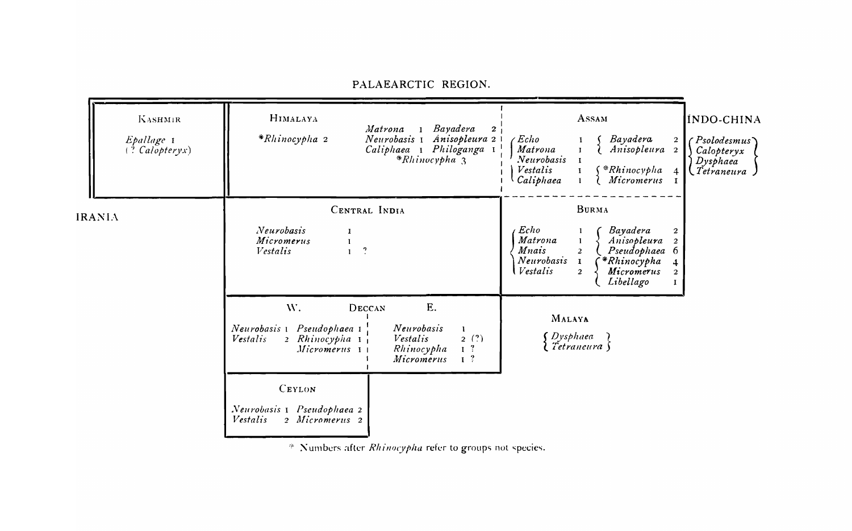| <b>KASHMIR</b><br>Epallage 1<br>$($ ? Calopteryx) | HIMALAYA<br>*Rhinocypha 2                                                          | Bayadera<br>Matrona<br>$\mathbf{2}$<br>$\mathbf{I}$<br>Anisopleura 2 I<br>Neurobasis 1<br>Caliphaea I Philoganga I<br>$*Rlinocypha$ <sup>3</sup> | ASSAM<br>Echo<br>Bayadera<br>2<br>Matrona<br>Anisopleura<br>$\overline{2}$<br>Neurobasis<br>Vestalis<br>$\int$ * $Rhinocypha$<br>4<br>Caliphaea<br>Micromerus                                                                                                          | INDO-CHINA<br>$\in P$ solodesmus $\cap$<br>Calopteryx<br>$D$ ysphaea<br>Tetraneura J |
|---------------------------------------------------|------------------------------------------------------------------------------------|--------------------------------------------------------------------------------------------------------------------------------------------------|------------------------------------------------------------------------------------------------------------------------------------------------------------------------------------------------------------------------------------------------------------------------|--------------------------------------------------------------------------------------|
| <b>IRANIA</b>                                     | Neurobasis<br>Micromerus<br>Vestalis                                               | CENTRAL INDIA<br>1<br>$\cdot$                                                                                                                    | <b>BURMA</b><br>Echo<br><b>Bayadera</b><br>2<br>Matrona<br>Anisopleura<br>$\overline{2}$<br><i>Mnais</i><br>Pseudophaea 6<br>$\overline{2}$<br>Neurobasis<br>*Rhinocypha<br>$\mathbf{I}$<br>4<br>Vestalis<br>Micromerus<br>$\overline{2}$<br>$\mathbf{2}$<br>Libellago |                                                                                      |
|                                                   | W.<br>Pseudophaea 1<br>Neurobasis 1<br>2 Rhinocypha 1<br>Vestalis<br>Micromerus 11 | E.<br>DECCAN<br>Neurobasis<br>$\mathbf{I}$<br>2(?)<br>Vestalis<br>I <sup>3</sup><br>Rhinocypha<br>I <sup>2</sup><br>Micromerus                   | MALAYA<br>' Dysphaea<br>$\{$ Tetraneura $\}$                                                                                                                                                                                                                           |                                                                                      |
|                                                   | <b>CEYLON</b><br>Neurobasis 1 Pseudophaea 2<br>2 Micromerus 2<br>Vestalis          |                                                                                                                                                  |                                                                                                                                                                                                                                                                        |                                                                                      |

PALAEARCTIC REGION.

\* Numbers after Rhinocypha refer to groups not species.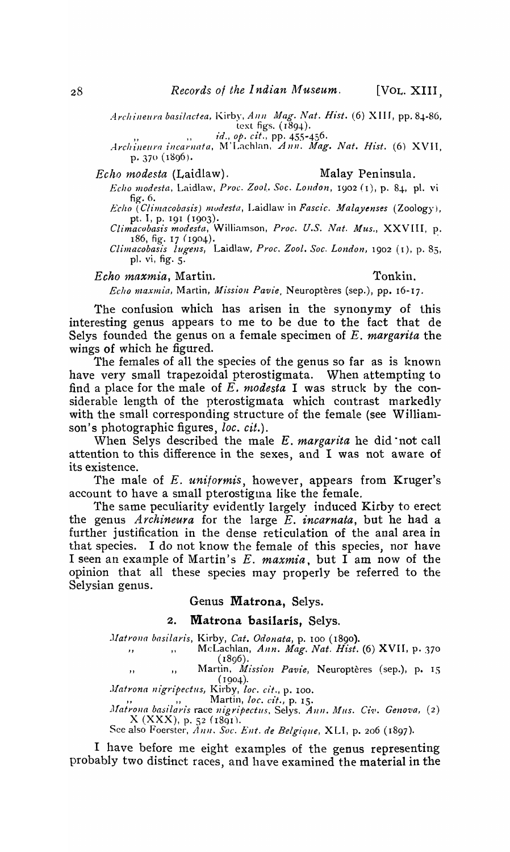*Archineura basilactea, Kirby, Ann Mag. Nat. Hist.* (6) XIII, pp. 84-86, text figs.  $(1894)$ .

text figs. (1894).<br>*Archineura incarnata*, M'Lachlan, Ann. Mag. Nat. Hist. (6) XVII, p. 370 (1896).

*Echo modesta* (Laidlaw). Malay Peninsula.

*Echo modesta,* Laidlaw, *Proc. Zoot. Soc. LOlldon,* 1902 (1), p. 84-, pI. vi fig. 6. *Echo (Climacobasz's) mudesta,* Laidlaw in *Pascic. Jlalayenses* (Zoology),

pt. I, p. 191 (1903). *Climacobasis modesta*, Williamson, Proc. U.S. Nat. Mus., XXVIII, p.

186, fig. 17 (1904).

*Climacobasis lugens*, Laidlaw, Proc. Zool. Soc. London, 1902 (1), p. 85, pI. vi, fig. 5.

*Echo maxmia,* Martin. Tonkin.

*Echo maxmia, Martin, Mission Pavie*, Neuroptères (sep.), pp. 16-17.

The confusion which has arisen in the synonymy of this interesting genus appears to me to be due to the fact that de Selys founded the genus on a female specimen of *E. margarita* the wings of which he figured.

The females of all the species of the genus so far as is known have very small trapezoidal pterostigmata. When attempting to find a place for the male of  $E$ . *modesta* I was struck by the considerable length of the pterostigmata which contrast markedly with the small corresponding structure of the female (see Williamson's photographic figures, *loc. cit.*).

When Selys described the male *E. margarita* he did· not call attention to this difference in the sexes, and I was not aware of its existence.

The male of E. *uniformis,* however, appears from Kruger's account to have a small pterostigma like the female.

The same peculiarity evidently largely induced Kirby to erect the genus *Archineura* for the large *E. incarnata,* but he had a further justification in the dense reticulation of the anal area in that species. I do not know the female of this species, nor have I seen an example of Martin's E. *maxmia,* but I am now of the opinion that all these species may properly be referred to the Selysian genus.

Genus Matrona, Selys.

### 2. Matrona basilaris, Selys.

*Matrona basilaris, Kirby, Cat. Odonata, p. 100 (1890).* 

", "McLachlan, *Ann. Mag. Nat. Hist.* (6) XVII, p. 370  $(1896)$ .

,, Martin, *Mi*,<br>(1904). Martin, *Mission Pavie*, Neuroptères (sep.), p. 15

*Matrona nigripectus, Kirby, loc. cit., p. 100.* Martin, *loc. cit.*, p. 15.

*Matrona basilaris* race nigripectus, Selys. Ann. Mus. Civ. Genova, (2)  $X$  (XXX), p. 52 (1891).

See also Foerster,  $\overline{A}nn$ . *Soc. Ent. de Belgique*, XLI, p. 206 (1897).

I have before me eight examples of the genus representing probably two distinct races, and have examined the material in the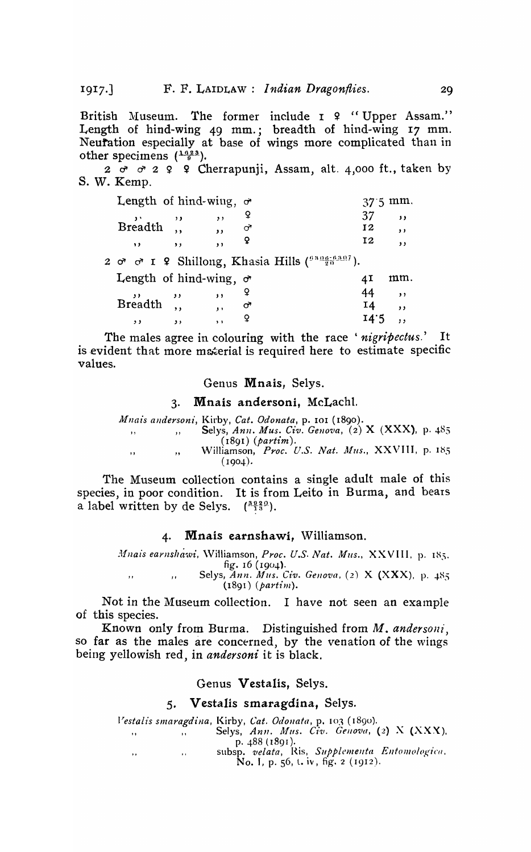$1917.$ 

British Museum. The former include I ? "Upper Assam." Length of hind-wing 49 mm.; breadth of hind-wing 17 mm.<br>Neutration especially at base of wings more complicated than in other specimens  $(\frac{1623}{9})$ .

 $2 \sigma$   $\sigma$   $2$   $9$   $9$  Cherrapunii, Assam, alt. 4,000 ft., taken by S. W. Kemp.

| Length of hind-wing, $\sigma$ |               |                          |                                                                              |      | nm.                      |
|-------------------------------|---------------|--------------------------|------------------------------------------------------------------------------|------|--------------------------|
|                               |               | ,,                       |                                                                              | 37   | $\overline{\phantom{a}}$ |
| Breadth,                      |               |                          | ᢦ                                                                            | 12   | , ,                      |
| $\ddot{\phantom{1}}$          | $\rightarrow$ | $\overline{\phantom{a}}$ |                                                                              | 12   | ,                        |
|                               |               |                          | 2 $\sigma$ $\sigma$ I 2 Shillong, Khasia Hills ( $\frac{0.306-0.307}{20}$ ). |      |                          |
| Length of hind-wing, $\sigma$ |               |                          |                                                                              |      | mm.                      |
|                               |               | , ,                      |                                                                              | 44   | , ,                      |
| $Breadth$ ,                   |               |                          | ᢦ                                                                            | 14   | , ,                      |
| . .                           | . .           | $\bullet$                |                                                                              | 14.5 | $\mathbf{1}$             |

The males agree in colouring with the race 'nigripectus.' It is evident that more material is required here to estimate specific values.

Genus Mnais, Selys.

#### $3.$ Mnais andersoni, McLachl.

Mnais andersoni, Kirby, Cat. Odonata, p. 101 (1890). Selys, Ann. Mus. Civ. Genova, (2) X (XXX), p. 485  $\overline{\mathbf{r}}$  $\overline{1}$  $(1891)$  (partim). Williamson, Proc. U.S. Nat. Mus., XXVIII, p. 185  $\overline{\phantom{a}}$  $,$  $(1904).$ 

The Museum collection contains a single adult male of this species, in poor condition. It is from Leito in Burma, and bears a label written by de Selys.  $\binom{30220}{13}$ .

#### Mnais earnshawi. Williamson.  $\boldsymbol{4}$ .

Mnais earnshawi, Williamson, Proc. U.S. Nat. Mus., XXVIII, p. 185. fig.  $16$  ( $1904$ ). Selys, Ann. Mus. Civ. Genova, (2) X (XXX), p. 485  $\overline{\phantom{a}}$  $\ddot{\phantom{1}}$  $(1891)$  (partim).

Not in the Museum collection. I have not seen an example of this species.

Known only from Burma. Distinguished from M. andersoni. so far as the males are concerned, by the venation of the wings being yellowish red, in andersoni it is black.

#### Genus Vestalis, Selys.

#### 5. Vestalis smaragdina, Selys.

Vestalis smaragdina, Kirby, Cat. Odonata, p. 103 (1890). Selys, Ann. Mus. Civ. Genova, (2) X (XXX).  $\cdot$ .  $\ddot{\phantom{a}}$ p. 488 (1891). subsp. velata, Ris, Supplementa Entomologica,  $\ddot{\phantom{1}}$ No. I, p. 56, t. iv, fig. 2 (1912).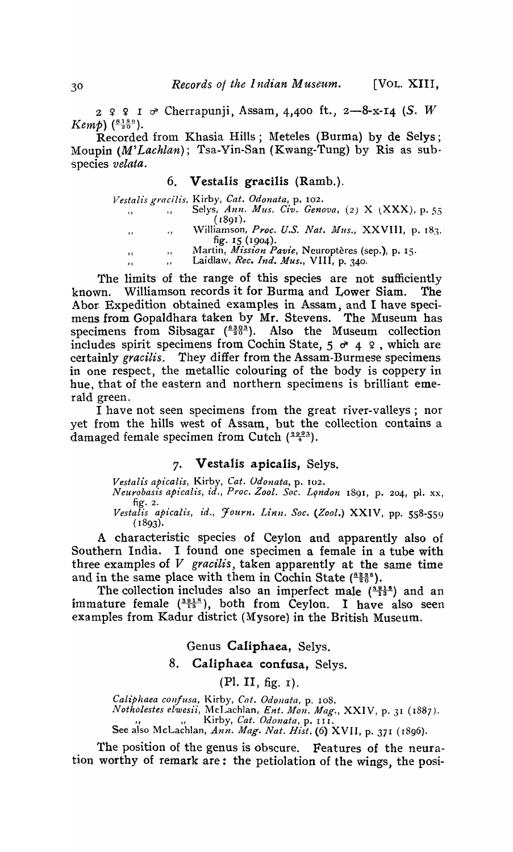$2$   $2$   $2$   $1$   $\sigma$  Cherrapunji, Assam, 4,400 ft., 2-8-x-14 (S. W) *Kemp*)  $\binom{8189}{20}$ .

Recorded from Khasia Hills; Meteles (Burma) by de Selys; Moupin *(M'Lachlan);* Tsa-Yin-San (Kwang-Tung) by Ris as sub· species *velata.* 

## 6. Vestalis gracilis (Ramb.).

|           |          | Vestalis gracilis, Kirby, Cat. Odonata, p. 102.           |
|-----------|----------|-----------------------------------------------------------|
| $\cdots$  |          | Selys, Ann. Mus. Civ. Genova, (2) X (XXX), p. 55          |
|           |          | (1891).                                                   |
| $, \, \,$ | $\cdots$ | Williamson, Proc. U.S. Nat. Mus., XXVIII, p. 183,         |
|           |          | fig. $15(1904)$ .                                         |
| , ,       | ,,       | Martin, <i>Mission Pavie</i> , Neuroptères (sep.), p. 15. |
| ,,        | ,,       | Laidlaw, Rec. Ind. Mus., VIII, p. 340.                    |

The limits of the range of this species are not sufficiently known. Williamson records it for Burma and Lower Siam. The Abor. Expedition obtained examples in Assam, and I have specimens from Gopaldhara taken by Mr. Stevens. The Museum has specimens from Sibsagar  $\left(\frac{6.303}{20}\right)$ . Also the Museum collection includes spirit specimens from Cochin State,  $5 \sigma 4$  9, which are certainly *gracilis.* They differ from the Assam-Burmese specimens in one respect, the metallic colouring of the body is coppery in hue, that of the eastern and northern specimens is brilliant emerald green.

I have not seen specimens from the great river-valleys; nor yet from the hills west of Assam, but the collection contains a damaged female specimen from Cutch  $(\frac{2093}{4})$ .

## 7. Vestalis apicalis, Selys.

*Vestalis apicalis,* Kirby, *Cat. Udonata,* p. 102.

*Neurobasis apicalis, id., Proc. Zoot. Soc. L9ndon* 1891, p. 204, pl. xx, fig. 2.

Vestalis apicalis, id., Journ. Linn. Soc. (Zool.) XXIV, pp. 558-559  $(1893).$ 

A characteristic species of Ceylon and apparently also of Southern India. I found one specimen a female in a tube with three examples of *V gracilis,* taken apparently at the same time and in the same place with them in Cochin State  $\binom{8225}{20}$ .

The collection includes also an imperfect male  $\binom{3015}{13}$  and an immature female  $\binom{3918}{13}$ , both from Ceylon. I have also seen examples from Kadur district (Mysore) in the British Museum.

## Genus Caliphaea, Selys.

8. Caliphaea confusa, Selys.

(PI. II, fig. I).

*CaUphaea con/usa,* Kirby, *Cat. Odonata,* p. 108. *Notholestes elwesii*, McLachlan, *Ent. Mon. Mag.*, XXIV, p. 31 (1887). See also McLachlan, *Ann. Mag. Nat. Hist.* (6) XVII, p. 371 (1896).

The position of the genus is obscure. Features of the neuration worthy of remark are: the petiolation of the wings, the posi-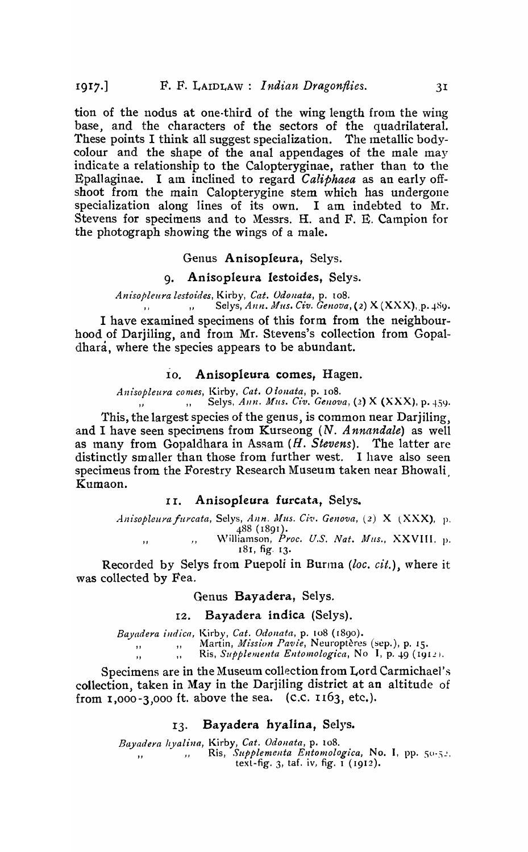tion of the nodus at one-third of the wing length from the wing base, and the characters of the sectors of the quadrilateral. These points I think all suggest specialization. The metallic bodycolour and the shape of the anal appendages of the male may indicate a relationship to the Calopteryginae, rather than to the Epallaginae. I am inclined to regard *Caliphaea* as an early offshoot from the main Calopterygine stem which has undergone specialization along lines of its own. I am indebted to Mr. Stevens for specimens and to Messrs. H. and F. E. Campion for the photograph showing the wings of a male.

Genus Anisopleura, Selys.

## 9. Anisopleura Iestoides, Selys.

*Anisopleura lesto£des,* Kirby, *Cat. Odollata,* p. 108. " "Selys, *Ann. JJ!us. Cz'v. Genova,* (2) X (XXX),.p. -t-H9.

I have examined specimens of this form from the neighbourhood of Darjiling, and from Mr. Stevens's collection from Gopaldhara, where the species appears to be abundant.

#### 10. Anisopleura comes, Hagen.

*Anisopleura comes,* Kirby, *Cat. OloJlata,* p. 108. Selys, Ann. Mus. Civ. Genova, (2) X (XXX), p. 459.

This, the largest species of the genus, is common near Darjiling, and I have seen specimens from Kurseong *(N. A nnandale)* as well as many from Gopaldhara in Assam (H. Stevens). The latter are distinctly smaller than those from further west. I have also seen specimens from the Forestry Research Museum taken near Bhowali Kumaon.

### II. Anisopleura furcata, Selys.

*Anisopleura furcata, Selys, Ann. Mus. Civ. Genova, (2)* X (XXX), p. 488 (1891 ).

, Williamson, *Proc. U.S. Nat. Mus.*, XXVIII. p.<br>181. fig. 13. 181, fig. 13.

Recorded by Selys from Puepoli in Burma *(loc. cit.)*, where it was collected by Fea.

#### Genus Bayadera, Selys.

## I2. Bayadera indica (Selys).

*Bayadera illdica,* Kirby, *Cat. Odonata,* p. 108 (1890).

Martin, *Mission Pavie*, Neuroptères (sep.), p. 15.

Ris, *Supplementa Entomologica*, No I, p. 49 (1912).

Specimens are in the Museum collection from Lord Carmichael's collection, taken in May in the Darjiling district at an altitude of from  $1,000-3,000$  ft. above the sea. (C.C.  $1163$ , etc.).

## 13. Bayadera hyalina, Selys.

*Bayadera hyalilla,* Kirby, *Cat. Odollata,* p. 108.

" " "Ris, *Supplementa Entomologica*, No. I, pp. 50-52. text-fig.  $3$ , taf. iv, fig.  $\tilde{1}$  (1912).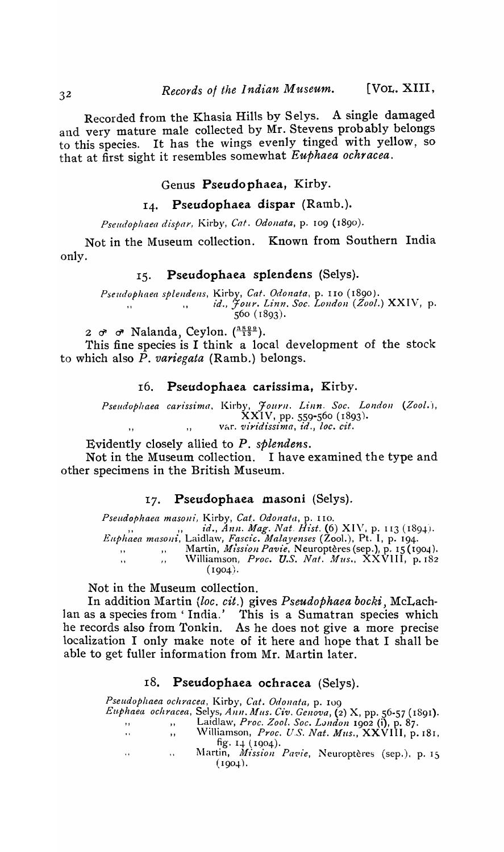Recorded from the Khasia Hills by Selys. A single damaged and very mature male collected by Mr. Stevens probably belongs to this species. It has the wings evenly tinged with yellow, so that at first sight it resembles somewhat *Euphaea ochracea.* 

## Genus Pseudophaea, Kirby.

## 14. Pseudophaea dispar (Ramb.).

*Pseudoplzaea dispar,* Kirby, *Cat. Odonata,* p. 109 ( 1890 ).

Not in the Museum collection. Known from Southern India only.

## 15. Pseudophaea splendens (Selys).

*Pseudophaea splendens,* Kirby, *Cat. Odonata,* p. 110 (1890). " I, *id., Jour. L£nn. Soc. Loudon (Zool.)* XXIV, p. 560 ( 1893).

2  $\sigma$   $\sigma$  Nalanda, Ceylon. ( $\frac{3899}{13}$ ).

This fine species is I think a local development of the stock to which also P. *variegata* (Ramb.) belongs.

## 16. Pseudophaea carissima, Kirby.

Pseudophaea carissima, Kirby, Journ. Linn. Soc. London (Zool.), XXIV, pp. 559-560 (1893). ,, var. *viridissima*, *id.*, *loc. cit.* 

Evidently closely allied to P. *splendens.* 

Not in the Museum collection. I have examined the type and other specimens in the British Museum.

## 17. Pseudophaea masoni (Selys).

*Pseudophaea masoni, Kirby, Cat. Odonata, p. 110.*<br>
" *id., Ann. Mag. Nat. Hist.* (6) XIV, p. 113 (1894). *Euphaea masoJli,* Laidlaw, *Faset"c. 111alayenses* (Zoo1.), Pt. I, p. 194. " "Martin, *JJ11'SS£OJl Pavie,* N europteres (sep.), p. 15 (1904). Williamson, *Proc. U.S. Nat. Mus.*,  $\overrightarrow{XXV}$ III, p. 182  $(1904).$ 

Not in the Museum collection.

In addition Martin *(loc. cit.)* gives *Pseudophaea bocki*, McLachlan as a species from 'India.' This is a Sumatran species which he records also from Tonkin. As he does not give a more precise localization I only make note of it here and hope that I shall be able to get fuller information from Mr. Martin later.

### 18. Pseudophaea ochracea (Selys).

*Pseudophaea ochracea,* Kirby, *Cat. Odouata,* p. 109 *Eu,phaea ochracea,* Selys, AIlIl. *AlLIs. Civ. Genova,* (2) X, pp. 56-57 (1891). " "Laidlaw, *P1'OC. Zool. Soc. Lllndon* 1902 (i), p. 87. " \Villiamson, *Proc. U.S. Nat. Mus.,* XXVIII, p. 181, fig.  $14$  (1904). Martin, *Mission Pavie*, Neuroptères (sep.), p. 15  $\bar{\mathbf{r}}$  :  $\sim$  $(1904).$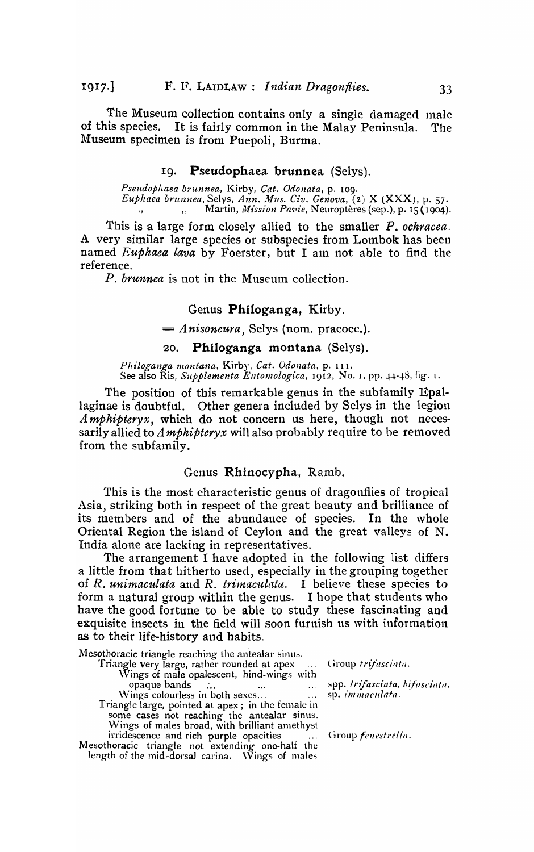The Museum collection contains only a single damaged male of this species. It is fairly common in the Malay Peninsula. The Museum specimen is from Puepoli, Burma.

## I9. Pseudophaea brunnea (Selys).

*Pseudophaea bntnnea,* Kirby, *Cat. Odonata,* p. 109. *Euphaea brul1nea,* Selys, *Ann •. llllls. Giv. Geno'ZIa,* (2) X (XXX), p. 57. " " Martin, *Mission Pavie*, Neuroptères (sep.), p. 15 (1904).

This is a large form closely allied to the smaller *P. ochracea.*  A very similar large species or subspecies from Lombok has been named *Euphaea lava* by Foerster, but I am not able to find the reference.

*P. brunnea* is not in the Museum collection.

## Genus Philoganga, Kirby.

= *Anisoneura,* Selys (nom. praeocc.).

## 20. Philoganga montana (Selys).

*Pltiloganga montana,* Kirby, *Gat. Odollata,* p. 11 1. See also Ris, *Supplementa Entomologica*, 1912, No. 1, pp. 44-48, fig. 1.

The position of this remarkable genus in the subfamily Epallaginae is doubtful. Other genera included by Selys in the legion *A mphipteryx,* which do not concern us here, though not necessarily allied to *Amphipteryx* will also probably require to be removed from the subfamily.

#### Genus Rhinocypha, Ramb.

This is the most characteristic genus of dragonflies of tropical Asia, striking both in respect of the great beauty and brilliance of its members and of the abundance of species. In the whole Oriental Region the island of Ceylon and the great valleys of N. India alone are lacking in representatives.

The arrangement I have adopted in the following list differs a little from that hitherto used, especially in the grouping together of *R. unimaculata* and *R. trimaculata*. I believe these species to form a natural group within the genus. I hope that students who have the good fortune to be able to study these fascinating and exquisite insects in the field will soon furnish us with information as to their life-history and habits.

Mesothoracic triangle reaching the antealar sinus. Triangle very large, rather rounded at apex \Vings of male opalescent, hind-wings with opaque bands . Wings colourless in both sexes... Triangle large, pointed at apex; in the female in some cases not reaching the antealar sinus. \\!ings of males broad, with brilliant amethyst irridescence and rich purple opacities Mesothoracic triangle not extending one-half the length of the mid-dorsal carina.  $\sqrt{V}$ ings of males

(iroup trifasciata.

spp. *trifasciata*, bifasciata. sp. *immaculata*.

Group *fenestrella*.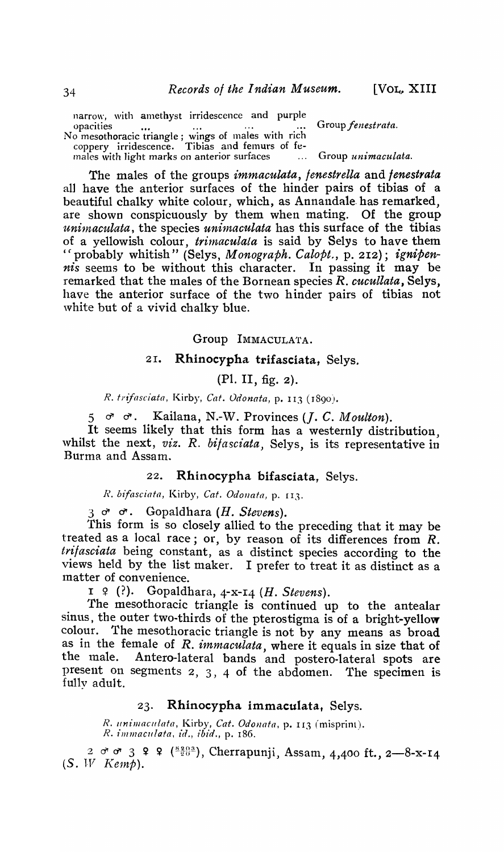narrow, with amethyst irridescence and purple opacities ... ... ... ... Group *fenestrata.* No mesothoracic triangle j wings of males with rich coppery irridescence. Tibias and femurs of females with light marks on anterior surfaces ... Group *unimaculata.* 

The males of the groups *immaculata, fenestrella* and *fenestrata*  all have the anterior surfaces of the hinder pairs of tibias of a beautiful chalky white colour, which, as Annandale. has remarked, are shown conspicuously by them when mating. Of the group *unimaculata,* the species *unimaculata* has this surface of the tibias of a yellowish colour, *trimaculata* is said by Selys to have them "probably whitish" (Selys, *Monograph. Calopt.,* p. 2I2); *ignipennis* seems to be without this character. In passing it may be remarked that the males of the Bornean species *R. cucullata,* Selys, have the anterior surface of the two hinder pairs of tibias not white but of a vivid chalky blue.

Group IMMACULATA.

## 21. Rhinocypha trifasciata, Selys.

(PI. II, fig. 2).

*R. trifasciata,* Kirby, *Cat. Odonata,* p. 113 (J890).

 $5 \quad \sigma \quad \sigma$ . Kailana, N.-W. Provinces (*J. C. Moulton*).

It seems likely that this form has a westernly distribution, \vhilst the next, *viz. R. bifasciata,* Selys, is its representative in Burma and Assam.

22. Rhinocypha bifasciata, Selys.

*R. btfasciata,* Kirby, *Cat. Odollata,* p. 113.

 $3 \,$   $\sigma$   $\sigma$ . Gopaldhara *(H. Stevens)*.

This form is so closely allied to the preceding that it may be treated as a local race; or, by reason of its differences from  $R$ . *trifasciata* being constant, as a distinct species according to the views held by the list maker. I prefer to treat it as distinct as a matter of convenience.

 $I \notin$  (?). Gopaldhara, 4-x-14 (*H. Stevens*).

The mesothoracic triangle is continued up to the antealar sinus, the outer two-thirds of the pterostigma is of a bright-yellow colour. The mesothoracic triangle is not by any means as broad as in the female of *R. immaculata*, where it equals in size that of the male. Antero-lateral bands and postero-lateral spots are Antero-lateral bands and postero-lateral spots are present on segments 2, 3, 4 of the abdomen. The specimen is fully adult.

## 23. Rhinocypha immaculata, Selys.

*R. lfn£JJlaClllata,* Kirby, *Cat. Odonata,* p. 113 (misprint). R. 1'mmaculafa, 'id., *ibid.,* p. 186.

2  $\sigma$   $\sigma$  3  $\Omega$   $\Omega$  ( $\frac{8203}{20}$ ), Cherrapunji, Assam, 4,400 ft., 2-8-x-14  $(S. \tW$  *Kemp*).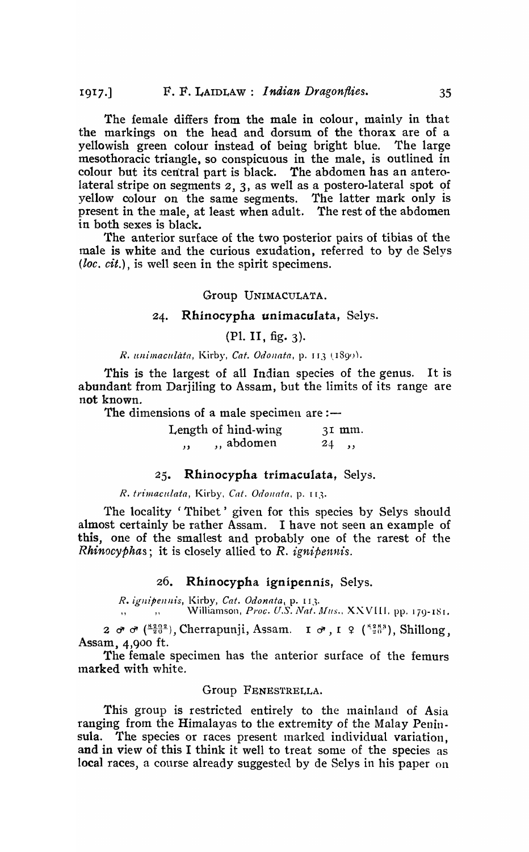The female differs from the male in colour, mainly in that the markings on the head and dorsum of the thorax are of a yellowish green colour instead of being bright blue. The large mesothoracic triangle, so conspicuous in the male, is outlined in colour but its central part is black. The abdomen has an anterolateral stripe on segments 2, 3, as well as a postero-lateral spot of yellow colour on the same segments. The latter mark only is present in the male, at least when adult. The rest of the abdomen in both sexes is black.

The anterior surface of the two posterior pairs of tibias of the male is white and the curious exudation, referred to by de Selys (*loc. cit.*), is well seen in the spirit specimens.

## Group UN1MACULATA.

## 24. Rhinocypha unimaculata, Selys.

## (PI. II, fig. 3).

## *R. unimaculata, Kirby, Cat. Odonata, p. 113 (1899).*

This is the largest of all Indian species of the genus. It is abundant from Darjiling to Assam, but the limits of its range are not known.

The dimensions of a male specimen are: $-$ 

|     | Length of hind-wing | $3I$ mm. |
|-----|---------------------|----------|
| , , | ,, abdomen          | 24, , ,  |

## $25.$  Rhinocypha trimaculata, Selys.

#### *R. trimaculata,* Kirby, *Cat. Odollata,* p. 113.

The locality 'Thibet' given for this species by Selys should almost certainly be rather Assam. I have not seen an example of this, one of the smallest and probably one of the rarest of the *Rhinocyphas;* it is closely allied to R. *ignipennis.* 

## $26.$  Rhinocypha ignipennis, Selys.

*R.* igilipellllt's, Kirby, *Cat. Odonata ,* p. 113. ", " ",, Williamson, Proc. U.S. Nat. Mus., XXVIII. pp. 179-181.

 $2 \sigma \sigma$  <sup>( $\frac{8202}{20}$ ), Cherrapunji, Assam. **I**  $\sigma$ , I  $\Omega$  ( $\frac{8283}{20}$ ), Shillong,</sup> Assam, 4,goo ft.

The female specimen has the anterior surface of the femurs marked with white.

## Group FENEs'rRELLA.

This group is restricted entirely to the mainland of Asia ranging from the Himalayas to the extremity of the Malay Peninsula. The species or races present marked individual variation. and in view of this I think it well to treat some of the species as local races, a course already suggested by de Selys in his paper on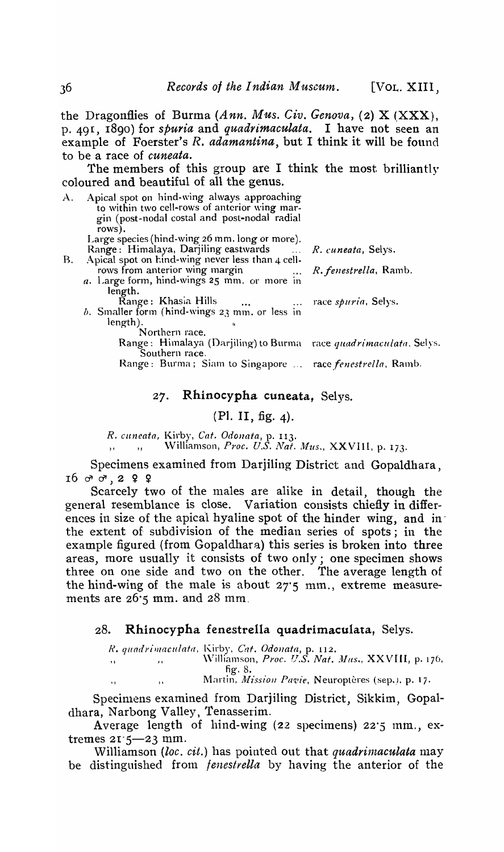the Dragonflies of Burma *(Ann. Mus. Giv. Genova,* (2) X (XXX), p. 49 r, 1890 ) for *spuria* and *quadrimaculata.* I have not seen an example of Foerster's *R. adamantina,* but I think it will be found to be a race of *cuneata.* 

The members of this group are I think the most brilliantly coloured and beautiful of all the genus.

A. Apical spot on hind-wing always approaching to within two cell-rows of anterior wing margin (post-nodal costal and post-nodal radial rows).

Large species (hind-wing 26 mm. long or more).

- Range: Himalaya, Darjiling eastwards ..... R. cuneata, Selys. B. Apical spot on hind-wing never less than 4 cellrows from anterior wing margin ... *R. fenestrella*, Ramb.
	- *a.* Large form, hind-wings 2S mm. or more in length.
	- Range: Khasia Hills ... ... race *spuria*, Selys.  $b$ . Smaller form (hind-wings 23 mm. or less in length).

Northern race.

Range: Himalaya (Darjiling) to Burma race *quadrimaculata*, Selys. Southern race.

Range: Burma; Siam to Singapore ... race *fenestrella*, Ramb.

## 27. Rhinocypha cuneata, Selys.

## (PI. II, fig. 4).

*R, cltneain,* Kirby, *Cat. Odonata,* p. 113.

,, ,, Williamson, *Proc. U.S. Nat. Mus.*, XXVIII, p. 173.

Specimens examined from Darjiling District and Gopaldhara, 16 d" d" ,2 ~ ~

Scarcely two of the males are alike in detail, though the general resemblance is close. Variation consists chiefly in differences in size of the apical hyaline spot of the hinder wing, and inthe extent of subdivision of the median series of spots; in the example figured (from Gopaldhara) this series is broken into three areas, more usually it consists of two only; one specimen shows three on one side and two on the other. The average length of the hind-wing of the male is about  $27'5$  mm., extreme measurements are  $26\,$ ; mm. and  $28$  mm.

## 28. Rhinocypha fenestrella quadrimaculata, Selys.

*R. qundrilllaculata,* Kirby, *Cat. Odollata,* p. 1I2.

" "

" (1990), Williamson, *Proc. U.S. Nat. Mus.*, XXVIII, p. 176, fig. 8.

Martin, *Mission Pavie*, Neuroptères (sep.). p. 17.

Specinlens examined from Darjiling District, Sikkim, Gopaldhara, Narbong Valley, Tenasserim.

Average length of hind-wing (22 specimens) 22'5 mm., extremes 21'5-23 mm.

Williamson *(loc. cit.)* has pointed out that *quadrimaculata* may be distinguished from *fenestrella* by having the anterior of the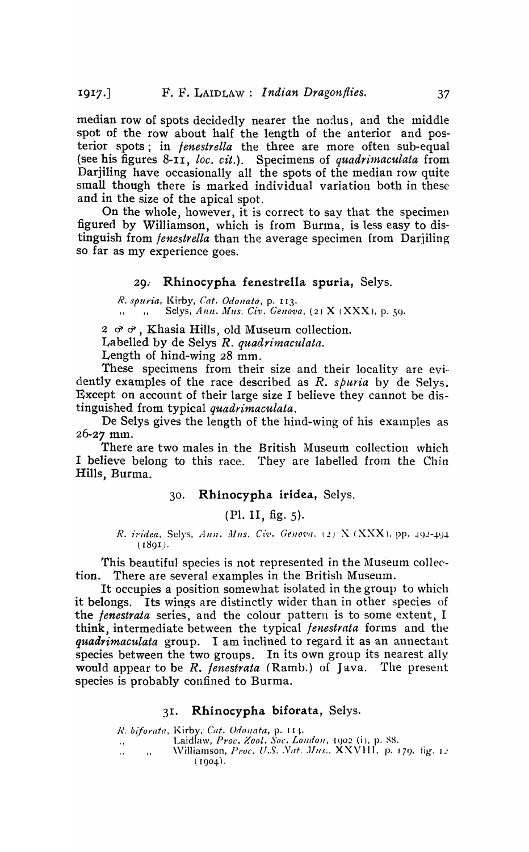median row of spots decidedly nearer the nodus, and the middle spot of the row about half the length of the anterior and posterior spots; in *fenestrella* the three are more often sub-equal (see his figures 8-11, *loc. cit.*). Specimens of *quadrimaculata* from Darjiling have occasionally all the spots of the median row quite small though there is marked individual variation both in these and in the size of the apical spot.

On the whole, however, it is correct to say that the specimen figured by Williamson, which is from Burina, is less easy to distinguish from *fenestrella* than the average specimen from Darjiling so far as my experience goes.

## 29. Rhinocypha fenestrella spuria, Selys.

*R. spurt'a,* Kirby, *Cat. Odollata,* p. 113. Selys, *Ann. Mus. Civ. Genova*, (2) X (XXX), p. 59.

*2 d" d"* , Khasia Hills, old Museum collection.

Labelled by de Selys *R. quadrimaculata.* 

Length of hind-wing 28 mm.

These specimens from their size and their locality are evidently examples of the race described as *R. spuria* by de Selys. Except on acconnt of their large size I believe they cannot be distinguished from typical *quadrimaculata.* 

De Selys gives the length of the hind-wing of his examples as  $26 - 27$  mm.

There are two males in the British Museum collection which I believe belong to this race. They are labelled from the Chin Hills, Burma.

## 30. Rhinocypha iridea, Selys.

(Pl. II, fig.  $5$ ).

*R. iridea, Selys, Ann. Mus. Civ. Genova, (2)* X (XXX), pp. 492-494 (1891)·

This beautiful species is not represented in the Museum collection. There are several examples in the British Museum.

It occupies a position somewhat isolated in the group to which it belongs. Its wings are distinctly wider than in other species of the *fenestrata* series, and the colour pattern is to some extent, I think, intermediate between the typical *fenestrata* forms and the *quadrimaculata* group. I am inclined to regard it as an annectant species between the two groups. In its own group its nearest ally would appear to be *R. fenestrata* (Ramb.) of Java. The present species is probably confined to Burma.

## 31. Rhinocypha biforata, Selys.

*R. biforata, Kirby, Cat. Odonata, p. [1].* ". Laidlaw, *Proc. Zool. Soc. LOlldoll,* 1902 (i), p. SHe \Vil1iamson, *Proc. U.S .. Vat. JIIIS.,* XXVIII. p. 179. lig. L!  $(1904)$ .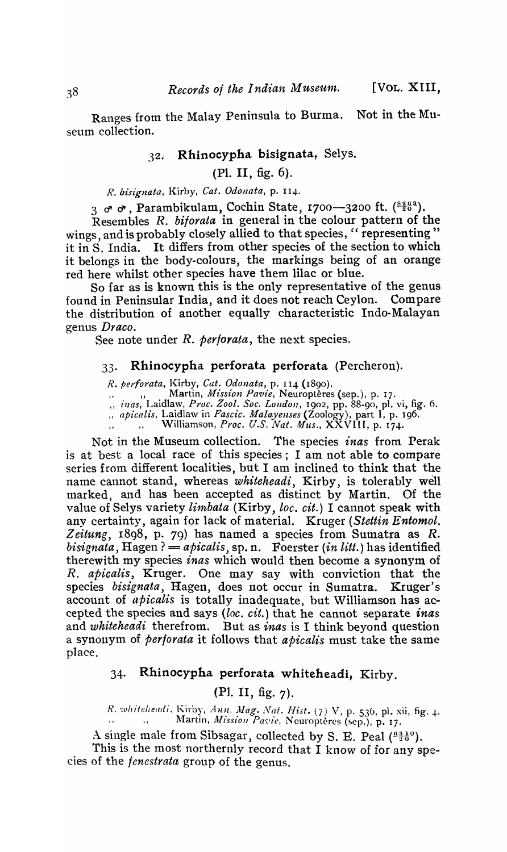Ranges from the Malay Peninsula to Burma. Not in the Museum collection.

## 32. Rhinocypha bisignata, Selys.

## (PI. II, fig. 6).

## *R. bisigltata,* Kirby, *Cat. Odonata,* p. 114·

3 d d, Parambikulam, Cochin State, 1700--3200 ft. (8268).

Resembles *R. bi/orata* in general in the colour pattern of the wings, and is probably closely allied to that species, "representing" it in S. India. It differs from other species of the section to which it belongs in the body-colours, the markings being of an orange red here whilst other species have them lilac or blue.

So far as is known this is the only representative of the genus found in Peninsular India, and it does not reach Ceylon. Compare the distribution of another equally characteristic Indo-Malayan genus *Draco.* 

See note under *R. per/orata,* the next species.

#### 33. Rhinocypha perforata perforata (Percheron).

*R. perforata,* I(irby, *Cat. Odonata,* p. 114 (1890).

,. " ,, Martin, *Mission Pavie*, Neuroptères (sep.), p. 17.

*" inas,* Laidlaw, *Proc. Zool. Soc. London,* 1902, pp. 88-90, pI. vi, fig. 6.

*" apicalis,* Laidlaw in *Fascic. Maloyenses* (Zoology), part I, p. 196.

II Williamson, *Proc. U.S. Nat. Mus.,* XXVIII, p. 174.

Not in the Museum collection. The species *inas* from Perak is at best a local race of this species; I am not able to compare series from different localities, but I am inclined to think that the name cannot stand, whereas *whiteheadi,* Kirby, is tolerably well marked, and has been accepted as distinct by Martin. Of the value of Selys variety *limbata* (Kirby, *loc. cit.*) I cannot speak with any certainty, again for lack of material. Kruger *(Stettin Entomol. Zeitung,* 1898, p. 79) has named a species from Sumatra as *R. bisignata*, Hagen? = *apicalis*, sp. n. Foerster *(in litt.)* has identified therewith my species *inas* which would then become a synonym of *R. apicalis,* Kruger. One may say with conviction that the species *bisignata,* Hagen, does not occur in Sumatra. Kruger's account of *apicalis* is totally inadequate, but Williamson has accepted the species and says *(loc. cit.)* that he cannot separate *inas*  and *whiteheadi* therefrom. But as *inas* is I think beyond question a synonym of *perforata* it follows that *apicalis* must take the same place.

## 34. Rhinocypha perforata whiteheadi, Kirby.

## (Pl. II, fig.  $7$ ).

*R. whiteheadi. Kirby, Ann. Mag. Nat. Hist.* (7) V, p. 536, pl. xii, fig. 4.  $\ldots$ ,, Martin, *Mission Pavie*, Neuroptères (sep.), p. 17.

A single male from Sibsagar, collected by S. E. Peal ( $\frac{6310}{20}$ ). This is the most northernly record that I know of for any species of the */enestrata* group of the genus.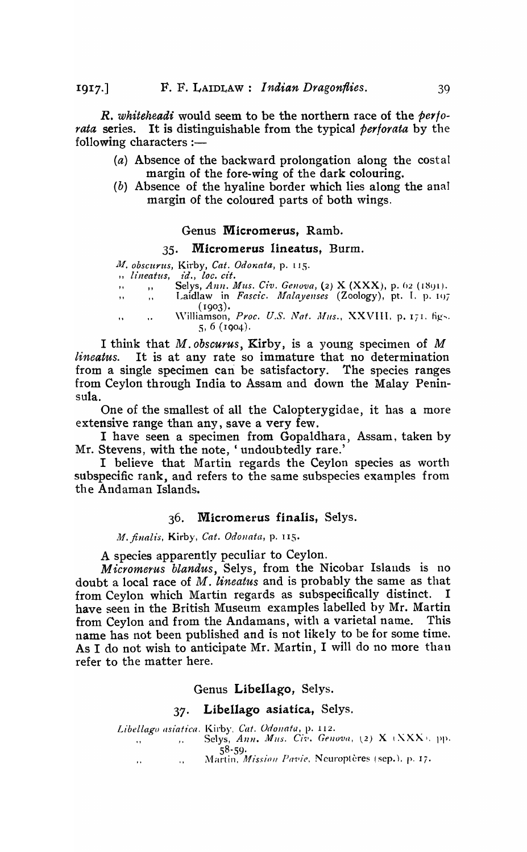*R. whiteheadi* would seem to be the northern race of the *perforata* series. It is distinguishable from the typical *perforata* by the following characters  $:$ 

- (a) Absence of the backward prolongation along the costal margin of the fore-wing of the dark colouring.
- (b) Absence of the hyaline border which lies along the anal margin of the coloured parts of both wings.

#### Genus Micromerus, Ramb.

### 35. Micromerus lineatus, Burm.

 $M.$  obscurus, Kirby, *Cat. Odonata*, p. 115.

 $n$ , lineatus, id., loc. cit.

" " " Selys, Ann. Mus. Civ. Genova, (2) X (XXX), p. 62 (1891). ., ., Laidlaw in *Fascic. Malayenses* (Zoology), pt. I. p. 107

 $(1903).$ Williamson, Proc. U.S. Nat. Mus., XXVIII. p. 171. figs.  $\dddot{\phantom{0}}$ 5, 6 (IQ04)·

I think that *M. obscurus,* Kirby, is a young specimen of *M lineatus.* It is at any rate so immature that no determination from a single specimen can be satisfactory. The species ranges from Ceylon through India to Assam and down the Malay Peninsula.

One of the smallest of all the Calopterygidae, it has a more extensive range than any, save a very few.

I have seen a specimen from Gopaldhara, Assam, taken by Mr. Stevens, with the note, ' undoubtedly rare.'

I believe that Martin regards the Ceylon species as worth subspecific rank, and refers to the same subspecies examples from the Andaman Islands.

#### 36. Micromerus finalis, Selys.

111. *finalis,* Kirby, *Cat. Odonata,* p. I IS.

A species apparently peculiar to Ceylon.

*Micromerus blandus*, Selys, from the Nicobar Islands is no doubt a local race of *M. lineatus* and is probably the same as that from Ceylon which Martin regards as subspecifically distinct. have seen in the British Museum examples labelled by Mr. Martin from Ceylon and from the Andamans, with a varietal name. This name has not been published and is not likely to be for some time. As I do not wish to anticipate Mr. Martin, I will do no more than refer to the matter here.

Genus Libellago, Selys.

### 37. Libellago asiatica, Selys.

Libellago asiatica. Kirby, Cat. Odonata, p. 112. ., Selys, *Ann. Mus. Civ. Genova*, (2) X (XXX), pp. 58-59· Martin, *Mission Pavie*, Neuroptères (sep.), p. 17.  $\bar{\alpha}$